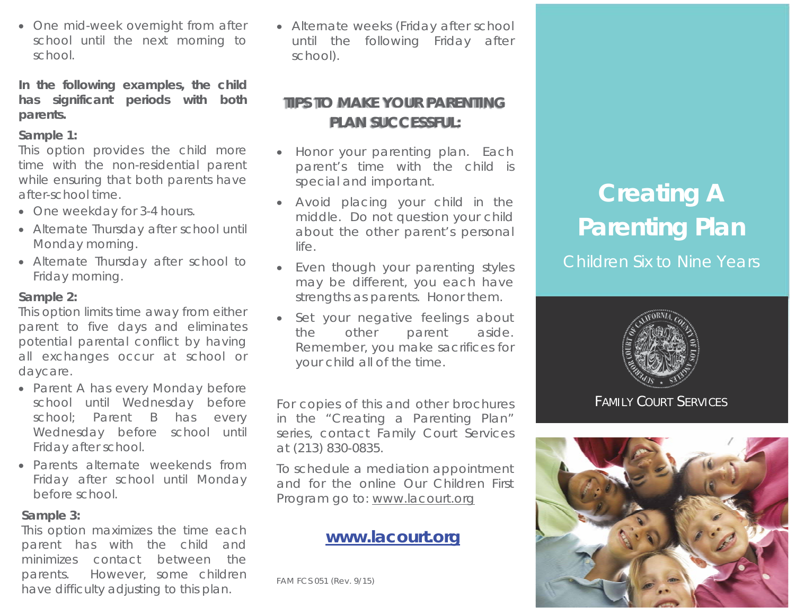• One mid-week overnight from after school until the next morning to school.

**In the following examples, the child has significant periods with both parents.** 

#### **Sample 1:**

This option provides the child more time with the non-residential parent while ensuring that both parents have after-school time.

- One weekday for 3-4 hours.
- Alternate Thursday after school until Monday morning.
- Alternate Thursday after school to Friday morning.

## **Sample 2:**

This option limits time away from either parent to five days and eliminates potential parental conflict by having all exchanges occur at school or daycare.

- Parent A has every Monday before school until Wednesday before school; Parent B has every Wednesday before school until Friday after school.
- Parents alternate weekends from Friday after school until Monday before school.

### **Sample 3:**

This option maximizes the time each parent has with the child and minimizes contact between the parents. However, some children have difficulty adjusting to this plan.

• Alternate weeks (Friday after school until the following Friday after school).

# **TIPS TO MAKE YOUR PARENTING PLAN SUCCESSFUL:**

- Honor your parenting plan. Each parent's time with the child is special and important.
- Avoid placing your child in the middle. Do not question your child about the other parent's personal life.
- Even though your parenting styles may be different, you each have strengths as parents. Honor them.
- Set your negative feelings about the other parent aside. Remember, you make sacrifices for your child all of the time.

For copies of this and other brochures in the "Creating a Parenting Plan" series, contact Family Court Services at (213) 830-0835.

To schedule a mediation appointment and for the online Our Children First Program go to: www.lacourt.org

# **www.lacourt.org**

FAM FCS 051 (Rev. 9/15)

# **Creating A Parenting Plan**

Children Six to Nine Years



FAMILY COURT SERVICES